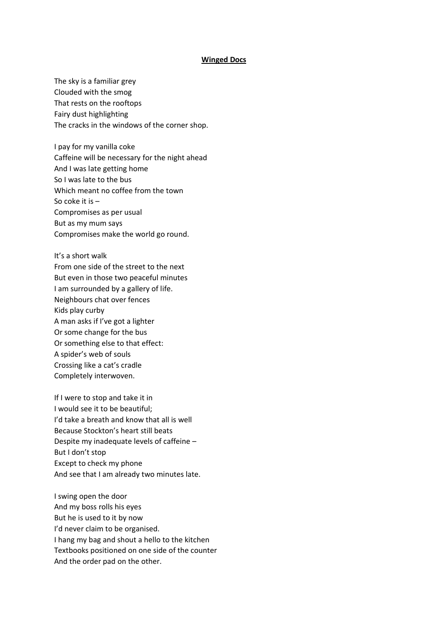## **Winged Docs**

The sky is a familiar grey Clouded with the smog That rests on the rooftops Fairy dust highlighting The cracks in the windows of the corner shop.

I pay for my vanilla coke Caffeine will be necessary for the night ahead And I was late getting home So I was late to the bus Which meant no coffee from the town So coke it is – Compromises as per usual But as my mum says Compromises make the world go round.

It's a short walk From one side of the street to the next But even in those two peaceful minutes I am surrounded by a gallery of life. Neighbours chat over fences Kids play curby A man asks if I've got a lighter Or some change for the bus Or something else to that effect: A spider's web of souls Crossing like a cat's cradle Completely interwoven.

If I were to stop and take it in I would see it to be beautiful; I'd take a breath and know that all is well Because Stockton's heart still beats Despite my inadequate levels of caffeine – But I don't stop Except to check my phone And see that I am already two minutes late.

I swing open the door And my boss rolls his eyes But he is used to it by now I'd never claim to be organised. I hang my bag and shout a hello to the kitchen Textbooks positioned on one side of the counter And the order pad on the other.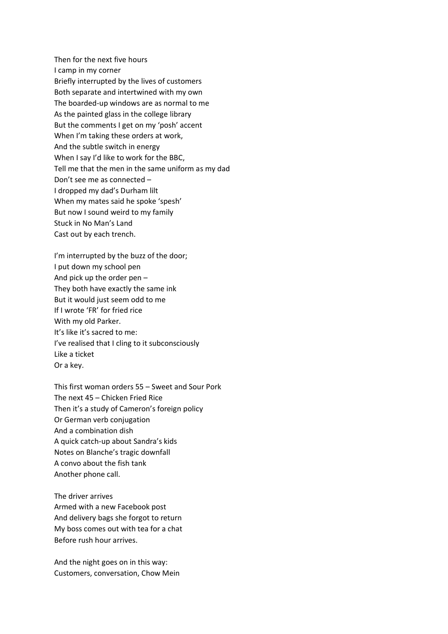Then for the next five hours I camp in my corner Briefly interrupted by the lives of customers Both separate and intertwined with my own The boarded-up windows are as normal to me As the painted glass in the college library But the comments I get on my 'posh' accent When I'm taking these orders at work, And the subtle switch in energy When I say I'd like to work for the BBC, Tell me that the men in the same uniform as my dad Don't see me as connected – I dropped my dad's Durham lilt When my mates said he spoke 'spesh' But now I sound weird to my family Stuck in No Man's Land Cast out by each trench.

I'm interrupted by the buzz of the door; I put down my school pen And pick up the order pen – They both have exactly the same ink But it would just seem odd to me If I wrote 'FR' for fried rice With my old Parker. It's like it's sacred to me: I've realised that I cling to it subconsciously Like a ticket Or a key.

This first woman orders 55 – Sweet and Sour Pork The next 45 – Chicken Fried Rice Then it's a study of Cameron's foreign policy Or German verb conjugation And a combination dish A quick catch-up about Sandra's kids Notes on Blanche's tragic downfall A convo about the fish tank Another phone call.

The driver arrives Armed with a new Facebook post And delivery bags she forgot to return My boss comes out with tea for a chat Before rush hour arrives.

And the night goes on in this way: Customers, conversation, Chow Mein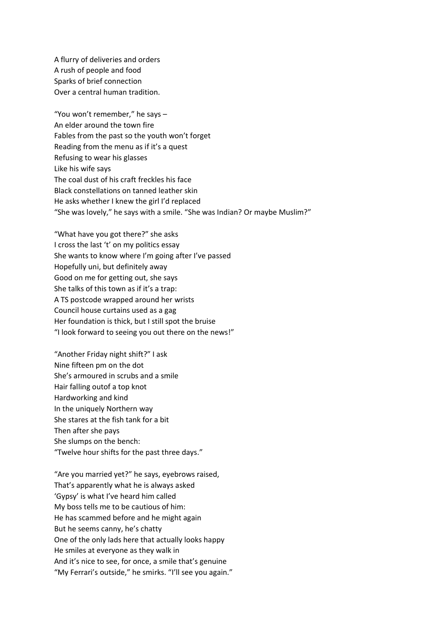A flurry of deliveries and orders A rush of people and food Sparks of brief connection Over a central human tradition.

"You won't remember," he says – An elder around the town fire Fables from the past so the youth won't forget Reading from the menu as if it's a quest Refusing to wear his glasses Like his wife says The coal dust of his craft freckles his face Black constellations on tanned leather skin He asks whether I knew the girl I'd replaced "She was lovely," he says with a smile. "She was Indian? Or maybe Muslim?"

"What have you got there?" she asks I cross the last 't' on my politics essay She wants to know where I'm going after I've passed Hopefully uni, but definitely away Good on me for getting out, she says She talks of this town as if it's a trap: A TS postcode wrapped around her wrists Council house curtains used as a gag Her foundation is thick, but I still spot the bruise "I look forward to seeing you out there on the news!"

"Another Friday night shift?" I ask Nine fifteen pm on the dot She's armoured in scrubs and a smile Hair falling outof a top knot Hardworking and kind In the uniquely Northern way She stares at the fish tank for a bit Then after she pays She slumps on the bench: "Twelve hour shifts for the past three days."

"Are you married yet?" he says, eyebrows raised, That's apparently what he is always asked 'Gypsy' is what I've heard him called My boss tells me to be cautious of him: He has scammed before and he might again But he seems canny, he's chatty One of the only lads here that actually looks happy He smiles at everyone as they walk in And it's nice to see, for once, a smile that's genuine "My Ferrari's outside," he smirks. "I'll see you again."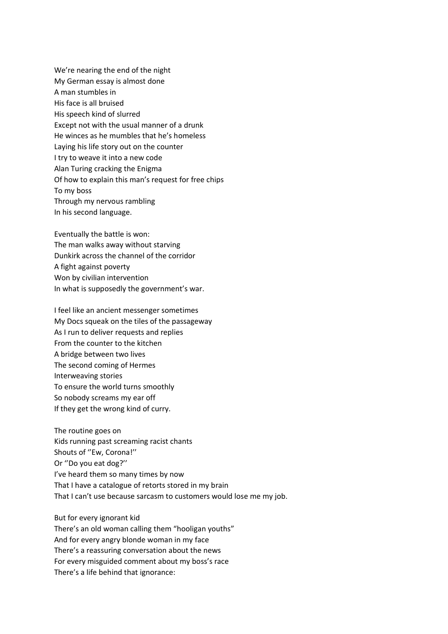We're nearing the end of the night My German essay is almost done A man stumbles in His face is all bruised His speech kind of slurred Except not with the usual manner of a drunk He winces as he mumbles that he's homeless Laying his life story out on the counter I try to weave it into a new code Alan Turing cracking the Enigma Of how to explain this man's request for free chips To my boss Through my nervous rambling In his second language.

Eventually the battle is won: The man walks away without starving Dunkirk across the channel of the corridor A fight against poverty Won by civilian intervention In what is supposedly the government's war.

I feel like an ancient messenger sometimes My Docs squeak on the tiles of the passageway As I run to deliver requests and replies From the counter to the kitchen A bridge between two lives The second coming of Hermes Interweaving stories To ensure the world turns smoothly So nobody screams my ear off If they get the wrong kind of curry.

The routine goes on Kids running past screaming racist chants Shouts of ''Ew, Corona!'' Or ''Do you eat dog?'' I've heard them so many times by now That I have a catalogue of retorts stored in my brain That I can't use because sarcasm to customers would lose me my job.

But for every ignorant kid There's an old woman calling them "hooligan youths" And for every angry blonde woman in my face There's a reassuring conversation about the news For every misguided comment about my boss's race There's a life behind that ignorance: